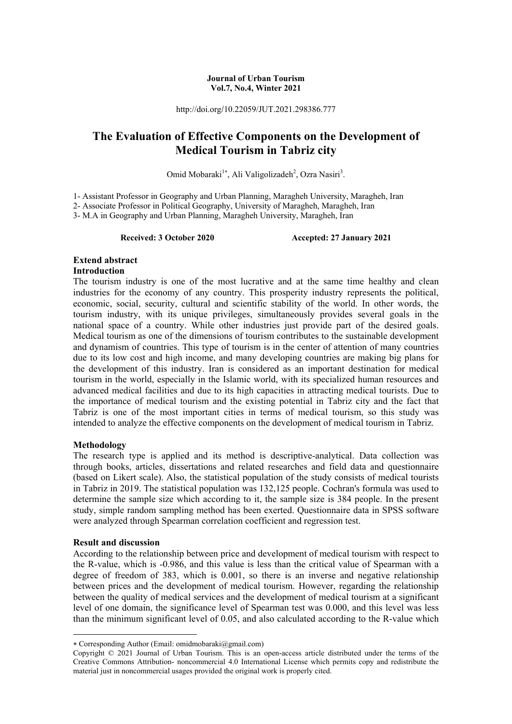#### **Journal of Urban Tourism Vol.7, No.4, Winter 2021**

http://doi.org/10.22059/JUT.2021.298386.777

## **The Evaluation of Effective Components on the Development of Medical Tourism in Tabriz city**

Omid Mobaraki<sup>1\*</sup>, Ali Valigolizadeh<sup>2</sup>, Ozra Nasiri<sup>3</sup>.

1- Assistant Professor in Geography and Urban Planning, Maragheh University, Maragheh, Iran

2- Associate Professor in Political Geography, University of Maragheh, Maragheh, Iran

3- M.A in Geography and Urban Planning, Maragheh University, Maragheh, Iran

**Received: 3 October 2020 Accepted: 27 January 2021** 

# **Extend abstract**

## **Introduction**

The tourism industry is one of the most lucrative and at the same time healthy and clean industries for the economy of any country. This prosperity industry represents the political, economic, social, security, cultural and scientific stability of the world. In other words, the tourism industry, with its unique privileges, simultaneously provides several goals in the national space of a country. While other industries just provide part of the desired goals. Medical tourism as one of the dimensions of tourism contributes to the sustainable development and dynamism of countries. This type of tourism is in the center of attention of many countries due to its low cost and high income, and many developing countries are making big plans for the development of this industry. Iran is considered as an important destination for medical tourism in the world, especially in the Islamic world, with its specialized human resources and advanced medical facilities and due to its high capacities in attracting medical tourists. Due to the importance of medical tourism and the existing potential in Tabriz city and the fact that Tabriz is one of the most important cities in terms of medical tourism, so this study was intended to analyze the effective components on the development of medical tourism in Tabriz.

## **Methodology**

The research type is applied and its method is descriptive-analytical. Data collection was through books, articles, dissertations and related researches and field data and questionnaire (based on Likert scale). Also, the statistical population of the study consists of medical tourists in Tabriz in 2019. The statistical population was 132,125 people. Cochran's formula was used to determine the sample size which according to it, the sample size is 384 people. In the present study, simple random sampling method has been exerted. Questionnaire data in SPSS software were analyzed through Spearman correlation coefficient and regression test.

## **Result and discussion**

**.** 

According to the relationship between price and development of medical tourism with respect to the R-value, which is -0.986, and this value is less than the critical value of Spearman with a degree of freedom of 383, which is 0.001, so there is an inverse and negative relationship between prices and the development of medical tourism. However, regarding the relationship between the quality of medical services and the development of medical tourism at a significant level of one domain, the significance level of Spearman test was 0.000, and this level was less than the minimum significant level of 0.05, and also calculated according to the R-value which

Corresponding Author (Email: omidmobaraki@gmail.com)

Copyright © 2021 Journal of Urban Tourism. This is an open-access article distributed under the terms of the Creative Commons Attribution- noncommercial 4.0 International License which permits copy and redistribute the material just in noncommercial usages provided the original work is properly cited.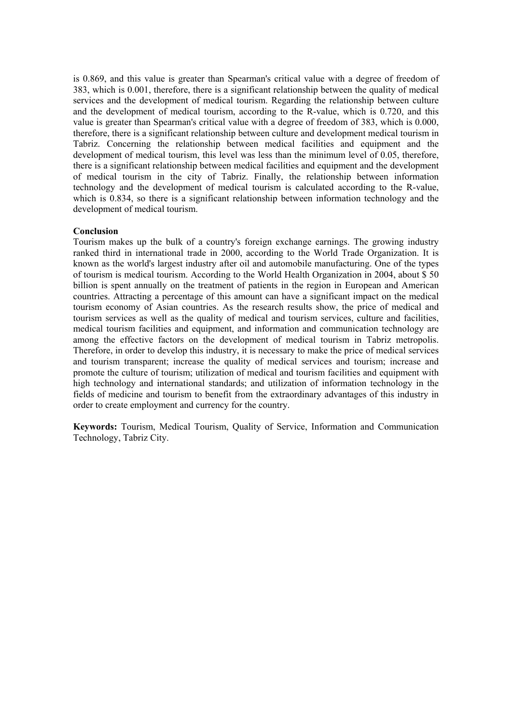is 0.869, and this value is greater than Spearman's critical value with a degree of freedom of 383, which is 0.001, therefore, there is a significant relationship between the quality of medical services and the development of medical tourism. Regarding the relationship between culture and the development of medical tourism, according to the R-value, which is 0.720, and this value is greater than Spearman's critical value with a degree of freedom of 383, which is 0.000, therefore, there is a significant relationship between culture and development medical tourism in Tabriz. Concerning the relationship between medical facilities and equipment and the development of medical tourism, this level was less than the minimum level of 0.05, therefore, there is a significant relationship between medical facilities and equipment and the development of medical tourism in the city of Tabriz. Finally, the relationship between information technology and the development of medical tourism is calculated according to the R-value, which is 0.834, so there is a significant relationship between information technology and the development of medical tourism.

#### **Conclusion**

Tourism makes up the bulk of a country's foreign exchange earnings. The growing industry ranked third in international trade in 2000, according to the World Trade Organization. It is known as the world's largest industry after oil and automobile manufacturing. One of the types of tourism is medical tourism. According to the World Health Organization in 2004, about \$ 50 billion is spent annually on the treatment of patients in the region in European and American countries. Attracting a percentage of this amount can have a significant impact on the medical tourism economy of Asian countries. As the research results show, the price of medical and tourism services as well as the quality of medical and tourism services, culture and facilities, medical tourism facilities and equipment, and information and communication technology are among the effective factors on the development of medical tourism in Tabriz metropolis. Therefore, in order to develop this industry, it is necessary to make the price of medical services and tourism transparent; increase the quality of medical services and tourism; increase and promote the culture of tourism; utilization of medical and tourism facilities and equipment with high technology and international standards; and utilization of information technology in the fields of medicine and tourism to benefit from the extraordinary advantages of this industry in order to create employment and currency for the country.

**Keywords:** Tourism, Medical Tourism, Quality of Service, Information and Communication Technology, Tabriz City.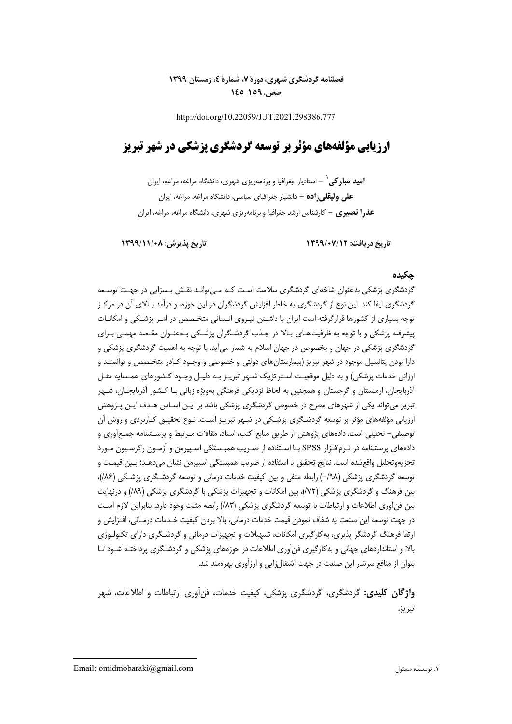## **فصلنامه گردشگري شهري، دورة ،7 شمارة ،4 زمستان 1399 صص. -159 145**

http://doi.org/10.22059/JUT.2021.298386.777

# **ارزيابي مؤلفههاي مؤثر بر توسعه گردشگري پزشكي در شهر تبريز**

**-** استاديار جغرافيا و برنامهريزي شهري، دانشگاه مراغه، مراغه، ايران <sup>1</sup> **اميد مباركي علي وليقليزاده -** دانشيار جغرافياي سياسي، دانشگاه مراغه، مراغه، ايران **عذرا نصيري -** كارشناس ارشد جغرافيا و برنامهريزي شهري، دانشگاه مراغه، مراغه، ايران

**تاريخ دريافت: 1399/07/12 تاريخ پذيرش: 1399/11/08** 

#### **چكيده**

گردشگري پزشكي بهعنوان شاخهاي گردشگري سلامت اسـت كـه مـيتوانـد نقـش بـسزايي در جهـت توسـعه گردشگري ايفا كند. اين نوع از گردشگري به خاطر افزايش گردشگران در اين حوزه، و درآمد بـالاي آن در مركـز توجه بسياري از كشورها قرارگرفته است ايران با داشـتن نيـروي انـساني متخـصص در امـر پزشـكي و امكانـات پيشرفته پزشكي و با توجه به ظرفيتهـاي بـالا در جـذب گردشـگران پزشـكي بـه عنـوان مقـصد مهمـي بـراي گردشگري پزشكي در جهان و بخصوص در جهان اسلام به شمار ميآيد. با توجه به اهميت گردشگري پزشكي و دارا بودن پتانسيل موجود در شهر تبريز (بيمارستانهاي دولتي و خصوصي و وجـود كـادر متخـصص و توانمنـد و ارزاني خدمات پزشكي) و به دليل موقعيـت اسـتراتژيك شـهر تبريـز بـه دليـل وجـود كـشورهاي همـسايه مثـل آذربايجان، ارمنستان و گرجستان و همچنين به لحاظ نزديكي فرهنگي بهويژه زباني بـا كـشور آذربايجـان، شـهر تبريز ميتواند يكي از شهرهاي مطرح در خصوص گردشگري پزشكي باشد بر ايـن اسـاس هـدف ايـن پـژوهش ارزيابي مؤلفههاي مؤثر بر توسعه گردشـگري پزشـكي در شـهر تبريـز اسـت . نـوع تحقيـق كـاربردي و روش آن توصيفي- تحليلي است. دادههاي پژوهش از طريق منابع كتب، اسناد، مقالات مـرتبط و پرسـشنامه جمـع آوري و دادههاي پرسشنامه در نـرمافـزار SPSS بـا اسـتفاده از ضـريب همبـستگي اسـپيرمن و آزمـون رگرسـيون مـورد تجزيهوتحليل واقعشده است. نتايج تحقيق با استفاده از ضريب همبستگي اسپيرمن نشان ميدهـد؛ بـين قيمـت و توسعه گردشگري پزشكي (٦٩٨–) رابطه منفي و بين كيفيت خدمات درماني و توسعه گردشـگري پزشـكي (١٨۶)، بين فرهنگ و گردشگري پزشكي (/72)، بين امكانات و تجهيزات پزشكي با گردشگري پزشكي (/89) و درنهايت بين فنآوري اطلاعات و ارتباطات با توسعه گردشگري پزشكي (/83) رابطه مثبت وجود دارد. بنابراين لازم اسـت در جهت توسعه اين صنعت به شفاف نمودن قيمت خدمات درماني، بالا بردن كيفيت خـدمات درمـاني، افـزايش و ارتقا فرهنگ گردشگر پذيري، بهكارگيري امكانات، تسهيلات و تجهيزات درماني و گردشـگري داراي تكنولـوژي بالا و استانداردهاي جهاني و بهكارگيري فنآوري اطلاعات در حوزههاي پزشكي و گردشـگري پرداختـه شـود تـا بتوان از منافع سرشار اين صنعت در جهت اشتغالزايي و ارزآوري بهرهمند شد.

**واژگان كليدي:** گردشگري، گردشگري پزشكي، كيفيت خدمات، فنآوري ارتباطات و اطلاعات، شهر تبريز.

**.**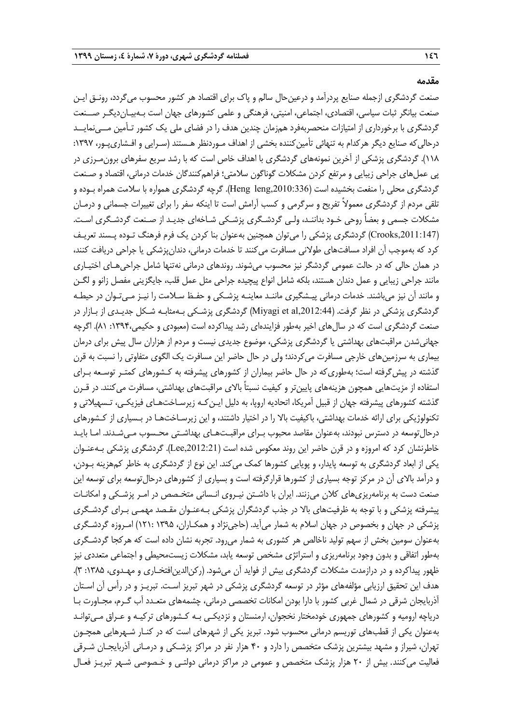**مقدمه** 

صنعت گردشگري ازجمله صنايع پردرآمد و درعين حال سالم و پاک براي اقتصاد هر كشور محسوب مي گردد، رونـق ايـن صنعت بيانگر ثبات سياسي، اقتصادي، اجتماعي، امنيتي، فرهنگي و علمي كشورهاي جهان است بـه بيـانديگـر صــنعت گردشگري با برخورداري از امتيازات منحصربهفرد همزمان چندين هدف را در فضاي ملي يك كشور تـأمين مــينمايــد درحالي كه صنايع ديگر هركدام به تنهائي تأمين كننده بخشي از اهداف مـوردنظر هـستند (سـرايي و افـشاري<code>پـور، ١٣٩٧:</code> 118). گردشگري پزشكي از آخرين نمونههاي گردشگري با اهداف خاص است كه با رشد سريع سفرهاي برون مـرزي در پي عملهاي جراحي زيبايي و مرتفع كردن مشكلات گوناگون سلامتي؛ فراهمكنندگان خدمات درماني، اقتصاد و صـنعت گردشگري محلي را منفعت بخشيده است (Heng leng,2010:336). گرچه گردشگري همواره با سلامت همراه بـوده و تلقي مردم از گردشگري معمولاً تفريح و سرگرمي و كسب آرامش است تا اينكه سفر را براي تغييرات جسماني و درمـان مشكلات جسمي و بعضاً روحي خـود بداننـد، ولـي گردشـگري پزشـكي شـاخهاي جديـد از صـنعت گردشـگري اسـت . (,2011:147Crooks (گردشگري پزشكي را ميتوان همچنين بهعنوان بنا كردن يك فرم فرهنگ تـوده پـسند تعريـف كرد كه بهموجب آن افراد مسافتهاي طولاني مسافرت مي كنند تا خدمات درماني، دندانپزشكي يا جراحي دريافت كنند، در همان حالي كه در حالت عمومي گردشگر نيز محسوب ميشوند. روندهاي درماني نهتنها شامل جراحيهـاي اختيـاري مانند جراحي زيبايي و عمل دندان هستند، بلكه شامل انواع پيچيده جراحي مثل عمل قلب، جايگزيني مفصل زانو و لگـن و مانند آن نيز ميباشند. خدمات درماني پيـشگيري ماننـد معاينـه پزشـكي و حفـظ سـلامت را نيـز مـيتـوان در حيطـه گردشگري پزشكي در نظر گرفت. (Miyagi et al,2012:44) گردشگري پزشـكي بـهمثابـه شـكل جديـدي از بـازار در صنعت گردشگري است كه در سالهاي اخير بهطور فزايندهاي رشد پيداكرده است (معبودي و حكيمي:1394، 81). اگرچه جهانيشدن مراقبتهاي بهداشتي يا گردشگري پزشكي، موضوع جديدي نيست و مردم از هزاران سال پيش براي درمان بيماري به سرزمينهاي خارجي مسافرت ميكردند؛ ولي در حال حاضر اين مسافرت يك الگوي متفاوتي را نسبت به قرن گذشته در پيشگرفته است؛ بهطوريكه در حال حاضر بيماران از كشورهاي پيشرفته به كـشورهاي كمتـر توسـعه بـراي استفاده از مزيتهايي همچون هزينههاي پايينتر و كيفيت نسبتاً بالاي مراقبتهاي بهداشتي، مسافرت ميكنند. در قـرن گذشته كشورهاي پيشرفته جهان از قبيل آمريكا، اتحاديه اروپا، به دليل ايـن كـه زيرسـاختهـاي فيزيكـي، تـسهيلاتي و تكنولوژيكي براي ارائه خدمات بهداشتي، باكيفيت بالا را در اختيار داشتند، و اين زيرسـاختهـا در بـسياري از كـشورهاي درحالتوسعه در دسترس نبودند، بهعنوان مقاصد محبوب بـراي مراقبـتهـاي بهداشـتي محـسوب مـيشـدند. امـا بايـد خاطرنشان كرد كه امروزه و در قرن حاضر اين روند معكوس شده است (Lee,2012:21). گردشگري پزشكي بـهعنـوان يكي از ابعاد گردشگري به توسعه پايدار، و پويايي كشورها كمك ميكند. اين نوع از گردشگري به خاطر كمهزينه بـودن، و درآمد بالاي آن در مركز توجه بسياري از كشورها قرارگرفته است و بسياري از كشورهاي درحال توسعه براي توسعه اين صنعت دست به برنامهريزيهاي كلان ميزنند. ايران با داشـتن نيـروي انـساني متخـصص در امـر پزشـكي و امكانـات پيشرفته پزشكي و با توجه به ظرفيتهاي بالا در جذب گردشگران پزشكي بـهعنـوان مقـصد مهمـي بـراي گردشـگري پزشكي در جهان و بخصوص در جهان اسلام به شمار م يآيد. (حاجينژاد و همكـاران، 1395 121:) امـروزه گردشـگري بهعنوان سومين بخش از سهم توليد ناخالص هر كشوري به شمار م يرود. تجربه نشان داده است كه هركجا گردشـگري بهطور اتفاقي و بدون وجود برنامهريزي و استراتژي مشخص توسعه يابد، مشكلات زيستمحيطي و اجتماعي متعددي نيز ظهور پيداكرده و در درازمدت مشكلات گردشگري بيش از فوايد آن مي شود. (ركن الدين افتخـاري و مهـدوي، ۱۳۸۵: ۳). هدف اين تحقيق ارزيابي مؤلفههاي مؤثر در توسعه گردشگري پزشكي در شهر تبريز اسـت . تبريـز و در رأس آن اسـتان آذربايجان شرقي در شمال غربي كشور با دارا بودن امكانات تخصصي درماني، چشمههاي متعـدد آب گـرم، مجـاورت بـا درياچه اروميه و كشورهاي جمهوري خودمختار نخجوان، ارمنستان و نزديكـي بـه كـشورهاي تركيـه و عـراق مـيتوانـد بهعنوان يكي از قطبهاي توريسم درماني محسوب شود. تبريز يكي از شهرهاي است كه در كنـار شـهرهايي همچـون تهران، شيراز و مشهد بيشترين پزشك متخصص را دارد و 40 هزار نفر در مراكز پزشـكي و درمـاني آذربايجـان شـرقي فعاليت ميكنند. بيش از 20 هزار پزشك متخصص و عمومي در مراكز درماني دولتـي و خـصوصي شـهر تبريـز فعـال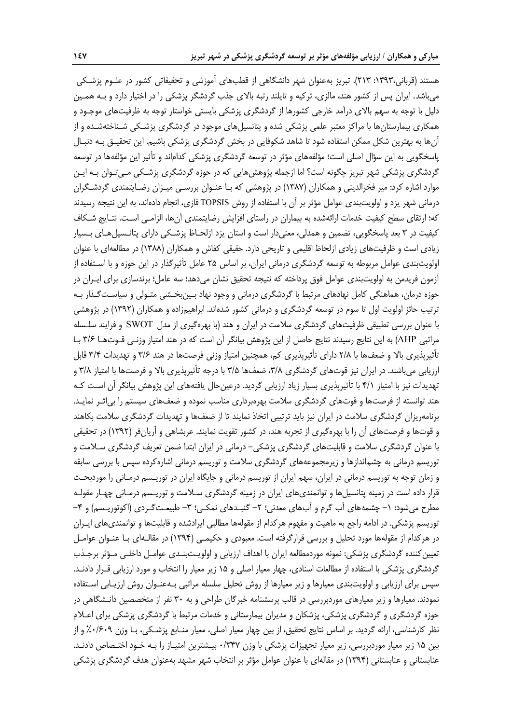هستند (قرباني:1393، 213). تبريز بهعنوان شهر دانشگاهي از قطبهاي آموزشي و تحقيقاتي كشور در علـوم پزشـكي ميباشد. ايران پس از كشور هند، مالزي، تركيه و تايلند رتبه بالاي جذب گردشگر پزشكي را در اختيار دارد و بـه همـين دليل با توجه به سهم بالاي درآمد خارجي كشورها از گردشگري پزشكي بايستي خواستار توجه به ظرفيت هاي موجـود و همكاري بيمارستانها با مراكز معتبر علمي پزشكي شده و پتانسيلهاي موجود در گردشگري پزشـكي شـناختهشـده و از آنها به بهترين شكل ممكن استفاده شود تا شاهد شكوفايي در بخش گردشگري پزشكي باشيم . اين تحقيـق بـه دنبـال پاسخگويي به اين سؤال اصلي است؛ مؤلفههاي مؤثر در توسعه گردشگري پزشكي كداماند و تأثير اين مؤلفهها در توسعه گردشگري پزشكي شهر تبريز چگونه است؟ اما ازجمله پژوهشهايي كه در حوزه گردشگري پزشـكي مـيتـوان بـه ايـن موارد اشاره كرد: مير فخرالديني و همكاران (1387) در پژوهشي كه بـا عنـوان بررسـي ميـزان رضـايتمندي گردشـگران درماني شهر يزد و اولويتبندي عوامل مؤثر بر آن با استفاده از روش TOPSIS فازي، انجام دادهاند، به اين نتيجه رسيدند كه؛ ارتقاي سطح كيفيت خدمات ارائهشده به بيماران در راستاي افزايش رضايتمندي آنها، الزامـي اسـت. نتـايج شـكاف كيفيت در 3 بعد پاسخگويي، تضمين و همدلي، معنيدار است و استان يزد ازلحـاظ پزشـكي داراي پتانـسيلهـاي بـسيار زيادي است و ظرفيتهاي زيادي ازلحاظ اقليمي و تاريخي دارد. حقيقي كفاش و همكاران (1388) در مطالعهاي با عنوان اولويتبندي عوامل مربوطه به توسعه گردشگري درماني ايران، بر اساس 25 عامل تأثيرگذار در اين حوزه و با اسـتفاده از آزمون فريدمن به اولويتبندي عوامل فوق پرداخته كه نتيجه تحقيق نشان ميدهد؛ سه عامل؛ برندسازي براي ايـران در حوزه درمان، هماهنگي كامل نهادهاي مرتبط با گردشگري درماني و وجود نهاد بـين بخـشي متـولي و سياسـتگـذار بـه ترتيب حائز اولويت اول تا سوم در توسعه گردشگري و درماني كشور شدهاند. ابراهيمزاده و همكاران (1392) در پژوهشي با عنوان بررسي تطبيقي ظرفيتهاي گردشگري سلامت در ايران و هند (با بهرهگيري از مدل SWOT و فرايند سلـسله مراتبي AHP (به اين نتايج رسيدند نتايج حاصل از اين پژوهش بيانگر آن است كه در هند امتياز وزنـي قـوت هـا 3/6 بـا تأثيرپذيري بالا و ضعفها با 2/8 داراي تأثيرپذيري كم، همچنين امتياز وزني فرصتها در هند 3/6 و تهديدات 3/4 قابل ارزيابي ميباشند. در ايران نيز قوتهاي گردشگري ۳/۸، ضعفها ۳/۵ با درجه تأثيرپذيري بالا و فرصتها با امتياز ٣/٨ و تهديدات نيز با امتياز 4/1 با تأثيرپذيري بسيار زياد ارزيابي گرديد. درعينحال يافتههاي اين پژوهش بيانگر آن اسـت كـه هند توانسته از فرصتها و قوتهاي گردشگري سلامت بهرهبرداري مناسب نموده و ضعفهاي سيستم را بياثـر نمايـد. برنامهريزان گردشگري سلامت در ايران نيز بايد ترتيبي اتخاذ نمايند تا از ضعفها و تهديدات گردشگري سلامت بكاهند و قوتها و فرصتهاي آن را با بهرهگيري از تجربه هند، در كشور تقويت نمايند. عربشاهي و آريانفر (1392) در تحقيقي با عنوان گردشگري سلامت و قابليتهاي گردشگري پزشكي- درماني در ايران ابتدا ضمن تعريف گردشگري سـلامت و توريسم درماني به چشماندازها و زيرمجموعههاي گردشگري سلامت و توريسم درماني اشارهكرده سپس با بررسي سابقه و زمان توجه به توريسم درماني در ايران، سهم ايران از توريسم درماني و جايگاه ايران در توريـسم درمـاني را موردبحـث قرار داده است در زمينه پتانسيلها و توانمنديهاي ايران در زمينه گردشگري سـلامت و توريـسم درمـاني چهـار مقولـه مطرح مي شود: ١– چشمه هاي آب گرم و آب هاي معدني؛ ٢– گنبـدهاي نمكـي؛ ٣– طبيعـت گـردي (اكوتوريـسم) و ۴– توريسم پزشكي. در ادامه راجع به ماهيت و مفهوم هركدام از مقوله ها مطالبي ايرادشده و قابليتها و توانمنديهاي ايـران در هركدام از مقولهها مورد تحليل و بررسي قرارگرفته است. معبودي و حكيمـي (1394) در مقالـهاي بـا عنـوان عوامـل تعيين كننده گردشگري پزشكي: نمونه موردمطالعه ايران با اهداف ارزيابي و اولويـتبنـدي عوامـل داخلـي مـؤثر برجـذب گردشگري پزشكي با استفاده از مطالعات اسنادي، چهار معيار اصلي و 15 زير معيار را انتخاب و مورد ارزيابي قـرار دادنـد . سپس براي ارزيابي و اولويتبندي معيارها و زير معيارها از روش تحليل سلسله مراتبي بـه عنـوان روش ارزيـابي اسـتفاده نمودند. معيارها و زير معيارهاي موردبررسي در قالب پرسشنامه خبرگان طراحي و به ٣٠ نفر از متخصصين دانـشگاهي در حوزه گردشگري و گردشگري پزشكي، پزشكان و مديران بيمارستاني و خدمات مرتبط با گردشگري پزشكي براي اعـلام نظر كارشناسي، ارائه گرديد. بر اساس نتايج تحقيق، از بين چهار معيار اصلي، معيار منـابع پزشـكي، بـا وزن %0/609 و از بين 15 زير معيار موردبررسي، زير معيار تجهيزات پزشكي با وزن 0/347 بيـشترين امتيـاز را بـه خـود اختـصاص دادنـد . عنابستاني و عنابستاني (1394) در مقالهاي با عنوان عوامل مؤثر بر انتخاب شهر مشهد بهعنوان هدف گردشگري پزشكي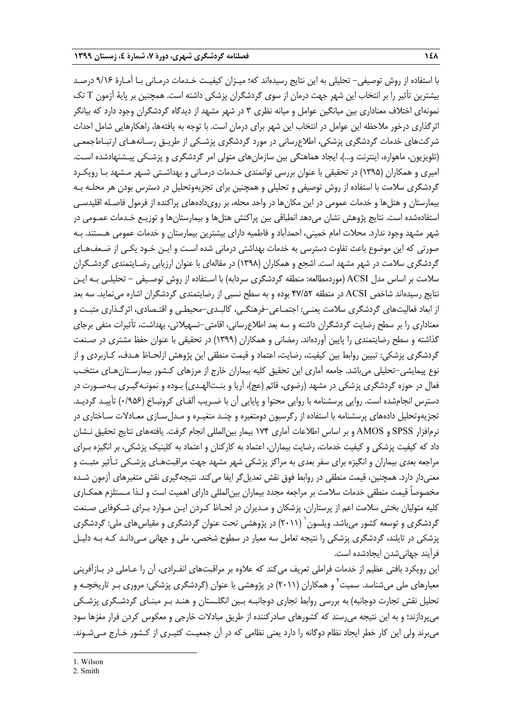با استفاده از روش توصيفي- تحليلي به اين نتايج رسيدهاند كه؛ ميـزان كيفيـت خـدمات درمـاني بـا آمـارة 9/16 درصـد بيشترين تأثير را بر انتخاب اين شهر جهت درمان از سوي گردشگران پزشكي داشته است. همچنين بر پاية آزمون T تك نمونهاي اختلاف معناداري بين ميانگين عوامل و ميانه نظري 3 در شهر مشهد از ديدگاه گردشگران وجود دارد كه بيانگر اثرگذاري درخور ملاحظه اين عوامل در انتخاب اين شهر براي درمان است . با توجه به يافتهها، راهكارهايي شامل احداث شركتهاي خدمات گردشگري پزشكي، اطلاعرساني در مورد گردشگري پزشـكي از طريـق رسـانه هـاي ارتبـاطجمعـي (تلويزيون، ماهواره، اينترنت و...)، ايجاد هماهنگي بين سازمانهاي متولي امر گردشگري و پزشـكي پيـشنهادشده اسـت . اميري و همكاران (1395) در تحقيقي با عنوان بررسي توانمندي خـدمات درمـاني و بهداشـتي شـهر مـشهد بـا رويكـرد گردشگري سلامت با استفاده از روش توصيفي و تحليلي و همچنين براي تجزيهوتحليل در دسترس بودن هر محلـه بـه بيمارستان و هتلها و خدمات عمومي در اين مكانها در واحد محله، بر رويدادههاي پراكنده از فرمول فاصـله اقليدسـي استفادهشده است. نتايج پژوهش نشان ميدهد انطباقي بين پراكنش هتلها و بيمارستانها و توزيـع خـدمات عمـومي در شهر مشهد وجود ندارد. محلات امام خميني، احمدآباد و فاطميه داراي بيشترين بيمارستان و خدمات عمومي هـستند . بـه صورتي كه اين موضوع باعث تفاوت دسترسي به خدمات بهداشتي درماني شده اسـت و ايـن خـود يكـي از ضـعف هـاي گردشگري سلامت در شهر مشهد است. اشجع و همكاران (1398) در مقالهاي با عنوان ارزيابي رضـايتمندي گردشـگران سلامت بر اساس مدل ACSI) موردمطالعه: منطقه گردشگري سردابه) با اسـتفاده از روش توصـيفي - تحليلـي بـه ايـن نتايج رسيدهاند شاخص ACSI در منطقه 47/52 بوده و به سطح نسبي از رضايتمندي گردشگران اشاره مي نمايد. سه بعد از ابعاد فعاليتهاي گردشگري سلامت يعنـي: اجتمـاعي-فرهنگـي، كالبـدي-محيطـي و اقتـصادي، اثرگـذاري مثبـت و معناداري را بر سطح رضايت گردشگران داشته و سه بعد اطلاع رساني، اقامتي-تسهيلاتي، بهداشت، تأثيرات منفي برجاي گذاشته و سطح رضايتمندي را پايين آوردهاند. رمضاني و همكاران (1399) در تحقيقي با عنوان حفظ مشتري در صـنعت گردشگري پزشكي: تبيين روابط بين كيفيت، رضايت، اعتماد و قيمت منطقي اين پژوهش ازلحـاظ هـدف، كـاربردي و از نوع پيمايشي-تحليلي ميباشد. جامعه آماري اين تحقيق كليه بيماران خارج از مرزهاي كـشور بيمارسـتانهـاي منتخـب فعال در حوزه گردشگري پزشكي در مشهد (رضوي، قائم (عج)، آريا و بنـتالهـدي) بـوده و نمونـهگيـري بـهصـورت در دسترس انجامشده است. روايي پرسشنامه با روايي محتوا و پايايي آن با ضـريب آلفـاي كرونبـاخ (0/956) تأييـد گرديـد. تجزيهوتحليل دادههاي پرسشنامه با استفاده از رگرسيون دومتغيره و چنـد متغيـره و مـدلسـازي معـادلات سـاختاري در نرمافزار SPSS و AMOS و بر اساس اطلاعات آماري 174 بيمار بينالمللي انجام گرفت. يافتههاي نتايج تحقيق نـشان داد كه كيفيت پزشكي و كيفيت خدمات، رضايت بيماران، اعتماد به كاركنان و اعتماد به كلينيك پزشكي، بر انگيزه بـراي مراجعه بعدي بيماران و انگيزه براي سفر بعدي به مراكز پزشكي شهر مشهد جهت مراقبتهـاي پزشـكي تـأثير مثبـت و معنيدار دارد. همچنين، قيمت منطقي در روابط فوق نقش تعديلگر ايفا ميكند. نتيجهگيري نقش متغيرهاي آزمون شـده مخصوصاً قيمت منطقي خدمات سلامت بر مراجعه مجدد بيماران بين المللي داراي اهميت است و لـذا مـستلزم همكـاري كليه متوليان بخش سلامت اعم از پرستاران، پزشكان و مـديران در لحـاظ كـردن ايـن مـوارد بـراي شـكوفايي صـنعت گردشگري و توسعه كشور مي باشد. ويلسون ` (۲۰۱۱) در پژوهشي تحت عنوان گردشگري و مقياس هاي ملي: گردشگري پزشكي در تايلند، گردشگري پزشكي را نتيجه تعامل سه معيار در سطوح شخصي، ملي و جهاني مـيدانـد كـه بـه دليـل فرآيند جهانيشدن ايجادشده است.

اين رويكرد بافتي عظيم از خدمات فراملي تعريف ميكند كه علاوه بر مراقبتهاي انفـرادي، آن را عـاملي در بـازآفريني معيارهای ملی میشناسد. سميت<sup>۲</sup> و همکاران (۲۰۱۱) در پژوهشی با عنوان (گردشگری پزشکی: مروری بـر تاريخچـه و تحليل نقش تجارت دوجانبه) به بررسي روابط تجاري دوجانبـه بـين انگلـستان و هنـد بـر مبنـاي گردشـگري پزشـكي ميپردازند؛ و به اين نتيجه ميرسند كه كشورهاي صادركننده از طريق مبادلات خارجي و معكوس كردن فرار مغزها سود ميبرند ولي اين كار خطر ايجاد نظام دوگانه را دارد يعني نظامي كه در آن جمعيـت كثيـري از كـشور خـارج مـيشـوند.

**.** 

<sup>2.</sup> Smith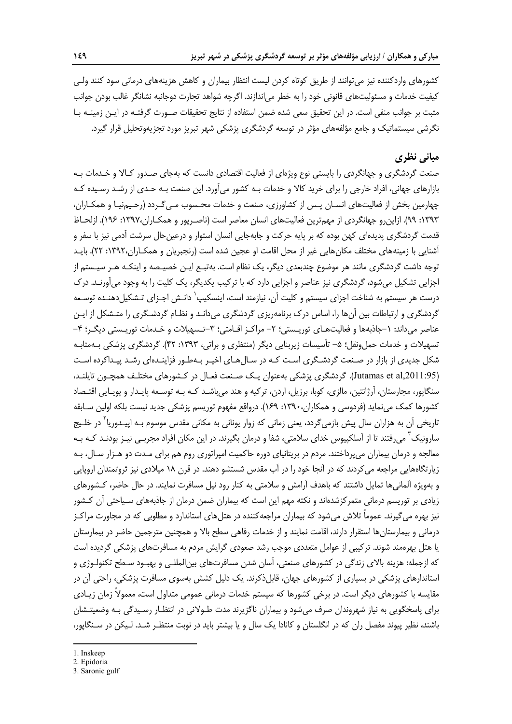كشورهاي واردكننده نيز ميتوانند از طريق كوتاه كردن ليست انتظار بيماران و كاهش هزينه هاي درماني سود كنند ولـي كيفيت خدمات و مسئوليتهاي قانوني خود را به خطر مياندازند. اگرچه شواهد تجارت دوجانبه نشانگر غالب بودن جوانب مثبت بر جوانب منفي است. در اين تحقيق سعي شده ضمن استفاده از نتايج تحقيقات صـورت گرفتـه در ايـن زمينـه بـا نگرشي سيستماتيك و جامع مؤلفههاي مؤثر در توسعه گردشگري پزشكي شهر تبريز مورد تجزيهوتحليل قرار گيرد.

## **مباني نظري**

صنعت گردشگري و جهانگردي را بايستي نوع ويژهاي از فعاليت اقتصادي دانست كه بهجاي صـدور كـالا و خـدمات بـه بازارهاي جهاني، افراد خارجي را براي خريد كالا و خدمات بـه كشور ميآورد. اين صنعت بـه حـدي از رشـد رسـيده كـه چهارمين بخش از فعاليتهاي انسـان پـس از كشاورزي، صنعت و خدمات محـسوب مـيگـردد (رحـيمنيـا و همكـاران، :1393 99). ازاينرو جهانگردي از مهمترين فعاليتهاي انسان معاصر است (ناصـرپور و همكـاران:1397، 196). ازلحـاظ قدمت گردشگري پديدهاي كهن بوده كه بر پايه حركت و جابهجايي انسان استوار و درعينحال سرشت آدمي نيز با سفر و آشنايي با زمينههاي مختلف مكانهايي غير از محل اقامت او عجين شده است (رنجبريان و همكـاران:1392، 22). بايـد توجه داشت گردشگري مانند هر موضوع چندبعدي ديگر، يك نظام است . بهتبـع ايـن خصيـصه و اينكـه هـر سيـستم از اجزايي تشكيل ميشود، گردشگري نيز عناصر و اجزايي دارد كه با تركيب يكديگر، يك كليت را به وجود ميآورنـد. درك درست هر سيستم به شناخت اجزاى سيستم و كليت آن، نيازمند است، اينسكيپ<sup>٬</sup> دانـش اجـزاى تـشكيلeهنـده توسـعه گردشگري و ارتباطات بين آنها را، اساس درك برنامهريزي گردشگري ميدانـد و نظـام گردشـگري را متـشكل از ايـن عناصر مي<اند: ١-جاذبهها و فعاليتهـاي توريـستي؛ ٢- مراكـز اقـامتي؛ ٣-تـسهيلات و خـدمات توريـستي ديگـر؛ ۴-تسهيلات و خدمات حمل ونقل؛ ۵- تأسيسات زيربنايي ديگر (منتظري و براتي، ۱۳۹۳: ۴۲). گردشگري پزشكي بـهمثابـه شكل جديدي از بازار در صـنعت گردشـگري اسـت كـه در سـال هـاي اخيـر بـهطـور فزاينـدهاي رشـد پيـداكرده اسـت (,2011:95al et Jutamas(. گردشگري پزشكي بهعنوان يـك صـنعت فعـال در كـشورهاي مختلـف همچـون تايلنـد، سنگاپور، مجارستان، آرژانتين، مالزي، كوبا، برزيل، اردن، تركيه و هند ميباشـد كـه بـه توسـعه پايـدار و پويـايي اقتـصاد كشورها كمك مينمايد (فردوسي و همكاران:1390، 169). درواقع مفهوم توريسم پزشكي جديد نيست بلكه اولين سـابقه تاريخي آن به هزاران سال پيش بازمي *گ*ردد، يعني زماني كه زوار يوناني به مكاني مقدس موسوم بـه اپيـدوريا<sup>۲</sup> در خلـيج سارونيک ّ مي فتند تا از آسلکپيوس خداي سلامتي، شفا و درمان بگيرند. در اين مکان افراد مجربـي نيـز بودنـد کـه بـه معالجه و درمان بيماران ميپرداختند. مردم در بريتانياي دوره حاكميت امپراتوري روم هم براي مـدت دو هـزار سـال، بـه زيارتگاههايي مراجعه ميكردند كه در آنجا خود را در آب مقدس شستشو دهند. در قرن 18 ميلادي نيز ثروتمندان اروپايي و بهويژه آلمانيها تمايل داشتند كه باهدف آرامش و سلامتي به كنار رود نيل مسافرت نمايند. در حال حاضر، كـشورهاي زيادي بر توريسم درماني متمركزشدهاند و نكته مهم اين است كه بيماران ضمن درمان از جاذبه هاي سـياحتي آن كـشور نيز بهره ميگيرند. عموماً تلاش ميشود كه بيماران مراجعهكننده در هتلهاي استاندارد و مطلوبي كه در مجاورت مراكـز درماني و بيمارستانها استقرار دارند، اقامت نمايند و از خدمات رفاهي سطح بالا و همچنين مترجمين حاضر در بيمارستان يا هتل بهرهمند شوند. تركيبي از عوامل متعددي موجب رشد صعودي گرايش مردم به مسافرتهاي پزشكي گرديده است كه ازجمله: هزينه بالاي زندگي در كشورهاي صنعتي، آسان شدن مسافرتهاي بينالمللـي و بهبـود سـطح تكنولـوژي و استاندارهاي پزشكي در بسياري از كشورهاي جهان، قابلذكرند. يك دليل كشش بهسوي مسافرت پزشكي، راحتي آن در مقايسه با كشورهاي ديگر است. در برخي كشورها كه سيستم خدمات درماني عمومي متداول است، معمولاً زمان زيـادي براي پاسخگويي به نياز شهروندان صرف ميشود و بيماران ناگزيرند مدت طـولاني در انتظـار رسـيدگي بـه وضعيتـشان باشند، نظير پيوند مفصل ران كه در انگلستان و كانادا يك سال و يا بيشتر بايد در نوبت منتظـر شـد. لـيكن در سـنگاپور،

 $\overline{a}$ 

2. Epidoria

<sup>1.</sup> Inskeep

<sup>3.</sup> Saronic gulf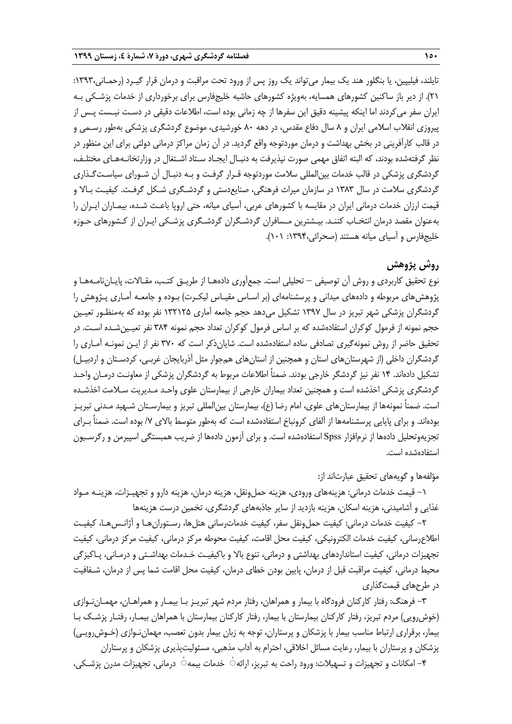تايلند، فيليپين، يا بنگلور هند يك بيمار ميتواند يك روز پس از ورود تحت مراقبت و درمان قرار گيـرد (رحمـاني:1393، 21). از دير باز ساكنين كشورهاي همسايه، بهويژه كشورهاي حاشيه خليجفارس براي برخورداري از خدمات پزشـكي بـه ايران سفر ميكردند اما اينكه پيشينه دقيق اين سفرها از چه زماني بوده است، اطلاعات دقيقي در دسـت نيـست پـس از پيروزي انقلاب اسلامي ايران و 8 سال دفاع مقدس، در دهه 80 خورشيدي، موضوع گردشگري پزشكي بهطور رسـمي و در قالب كارآفريني در بخش بهداشت و درمان موردتوجه واقع گرديد. در آن زمان مراكز درماني دولتي براي اين منظور در نظر گرفتهشده بودند، كه البته اتفاق مهمي صورت نپذيرفت به دنبـال ايجـاد سـتاد اشـتغال در وزارتخانـههـاي مختلـف، گردشگري پزشكي در قالب خدمات بينالمللي سلامت موردتوجه قـرار گرفـت و بـه دنبـال آن شـوراي سياسـت گـذاري گردشگري سلامت در سال 1383 در سازمان ميراث فرهنگي، صنايعدستي و گردشـگري شـكل گرفـت. كيفيـت بـالا و قيمت ارزان خدمات درماني ايران در مقايسه با كشورهاي عربي، آسياي ميانه، حتي اروپا باعـث شـده، بيمـاران ايـران را بهعنوان مقصد درمان انتخـاب كننـد. بيـشترين مـسافران گردشـگران گردشـگري پزشـكي ايـران از كـشورهاي حـوزه خليجفارس و آسياي ميانه هستند (صحرائي:1394، 101).

## **روش پژوهش**

نوع تحقيق كاربردي و روش آن توصيفي – تحليلي است. جمعآوري دادههـا از طريـق كتـب، مقـالات، پايـاننامـههـا و پژوهشهاي مربوطه و دادههاي ميداني و پرسشنامهاي (بر اسـاس مقيـاس ليكـرت) بـوده و جامعـه آمـاري پـژوهش را گردشگران پزشكي شهر تبريز در سال 1397 تشكيل ميدهد حجم جامعه آماري 132125 نفر بوده كه بهمنظـور تعيـين حجم نمونه از فرمول كوكران استفادهشده كه بر اساس فرمول كوكران تعداد حجم نمونه 384 نفر تعيـينشـده اسـت. در تحقيق حاضر از روش نمونهگيري تصادفي ساده استفادهشده است. شايانذكر است كه 370 نفر از ايـن نمونـه آمـاري را گردشگران داخلي (از شهرستانهاي استان و همچنين از استانهاي همجوار مثل آذربايجان غربـي، كردسـتان و اردبيـل) تشكيل دادهاند. 14 نفر نيز گردشگر خارجي بودند. ضمناً اطلاعات مربوط به گردشگران پزشكي از معاونـت درمـان واحـد گردشگري پزشكي اخذشده است و همچنين تعداد بيماران خارجي از بيمارستان علوي واحـد مـديريت سـلامت اخذشـده است. ضمناً نمونهها از بيمارستانهاي علوي، امام رضا (ع)، بيمارستان بينالمللي تبريز و بيمارسـتان شـهيد مـدني تبريـز بودهاند. و براي پايايي پرسشنامهها از آلفاي كرونباخ استفادهشده است كه بهطور متوسط بالاي /7 بوده است. ضمناً بـراي تجزيهوتحليل دادهها از نرمافزار Spss استفادهشده است. و براي آزمون دادهها از ضريب همبستگي اسپيرمن و رگرسـيون استفادهشده است.

## مؤلفهها و گويههاي تحقيق عبارتاند از:

-1 قيمت خدمات درماني: هزينههاي ورودي، هزينه حملونقل، هزينه درمان، هزينه دارو و تجهيـزات، هزينـه مـواد غذايي و آشاميدني، هزينه اسكان، هزينه بازديد از ساير جاذبههاي گردشگري، تخمين درست هزينهها

-2 كيفيت خدمات درماني: كيفيت حملونقل سفر، كيفيت خدماترساني هتلها، رسـتورانهـا و آژانـسهـا، كيفيـت اطلاعرساني، كيفيت خدمات الكترونيكي، كيفيت محل اقامت، كيفيت محوطه مركز درماني، كيفيت مركز درماني، كيفيت تجهيزات درماني، كيفيت استانداردهاي بهداشتي و درماني، تنوع بالا و باكيفيـت خـدمات بهداشـتي و درمـاني، پـاكيزگي محيط درماني، كيفيت مراقبت قبل از درمان، پايين بودن خطاي درمان، كيفيت محل اقامت شما پس از درمان، شـفافيت در طرحهاي قيمتگذاري

-3 فرهنگ: رفتار كاركنان فرودگاه با بيمار و همراهان، رفتار مردم شهر تبريـز بـا بيمـار و همراهـان، مهمـان نـوازي (خوشرويي) مردم تبريز، رفتار كاركنان بيمارستان با بيمار، رفتار كاركنان بيمارستان با همراهان بيمـار، رفتـار پزشـك بـا بيمار، برقراري ارتباط مناسب بيمار با پزشكان و پرستاران، توجه به زبان بيمار بدون تعصب، مهمان نـوازي (خـوشرويـي) پزشكان و پرستاران با بيمار، رعايت مسائل اخلاقي، احترام به آداب مذهبي، مسئوليتپذيري پزشكان و پرستاران

-4 امكانات و تجهيزات و تسهيلات: ورود راحت به تبريز، ارائه ٔ◌ خدمات بيمه ٔ◌ درماني، تجهيزات مدرن پزشـكي،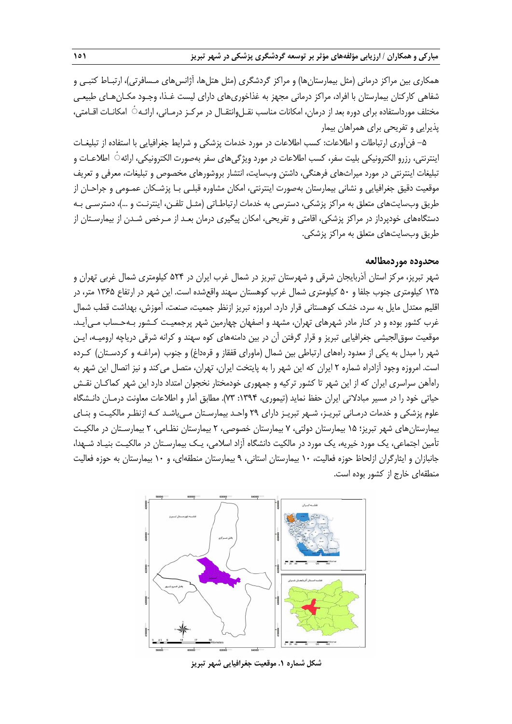همكاري بين مراكز درماني (مثل بيمارستانها) و مراكز گردشگري (مثل هتلها، آژانسهاي مـسافرتي)، ارتبـاط كتبـي و شفاهي كاركنان بيمارستان با افراد، مراكز درماني مجهز به غذاخوري هاي داراي ليست غـذا، وجـود مكـانهـاي طبيعـي مختلف مورداستفاده براي دوره بعد از درمان، امكانات مناسب نقـلeانتقـال در مركـز درمـاني، ارائـه ٔ امكانـات اقـامتي، پذيرايي و تفريحي براي همراهان بيمار

-5 فنآوري ارتباطات و اطلاعات: كسب اطلاعات در مورد خدمات پزشكي و شرايط جغرافيايي با استفاده از تبليغـات اينترنتي، رزرو الكترونيكي بليت سفر، كسب اطلاعات در مورد ويژگيهاي سفر بهصورت الكترونيكي، ارائه ٔ◌ اطلاعـات و تبليغات اينترنتي در مورد ميراثهاي فرهنگي، داشتن وبسايت، انتشار بروشورهاي مخصوص و تبليغات، معرفي و تعريف موقعيت دقيق جغرافيايي و نشاني بيمارستان بهصورت اينترنتي، امكان مشاوره قبلـي بـا پزشـكان عمـومي و جراحـان از طريق وبسايتهاي متعلق به مراكز پزشكي، دسترسي به خدمات ارتباطـاتي (مثـل تلفـن، اينترنـت و ...)، دسترسـي بـه دستگاههاي خودپرداز در مراكز پزشكي، اقامتي و تفريحي، امكان پيگيري درمان بعـد از مـرخص شـدن از بيمارسـتان از طريق وبسايتهاي متعلق به مراكز پزشكي.

## **محدوده موردمطالعه**

شهر تبريز، مركز استان آذربايجان شرقي و شهرستان تبريز در شمال غرب ايران در 524 كيلومتري شمال غربي تهران و 135 كيلومتري جنوب جلفا و 50 كيلومتري شمال غرب كوهستان سهند واقعشده است. اين شهر در ارتفاع 1365 متر، در اقليم معتدل مايل به سرد، خشك كوهستاني قرار دارد. امروزه تبريز ازنظر جمعيت، صنعت، آموزش، بهداشت قطب شمال غرب كشور بوده و در كنار مادر شهرهاي تهران، مشهد و اصفهان چهارمين شهر پرجمعيـت كـشور بـهحـساب مـيآيـد. موقعيت سوقالجيشي جغرافيايي تبريز و قرار گرفتن آن در بين دامنه هاي كوه سهند و كرانه شرقي درياچه اروميـه، ايـن شهر را مبدل به يكي از معدود راههاي ارتباطي بين شمال (ماوراي قفقاز و قرهداغ) و جنوب (مراغـه و كردسـتان) كـرده است. امروزه وجود آزادراه شماره 2 ايران كه اين شهر را به پايتخت ايران، تهران، متصل مي كند و نيز اتصال اين شهر به راهآهن سراسري ايران كه از اين شهر تا كشور تركيه و جمهوري خودمختار نخجوان امتداد دارد اين شهر كماكـان نقـش حياتي خود را در مسير مبادلاتي ايران حفظ نمايد (تيموري، :1394 73). مطابق آمار و اطلاعات معاونت درمـان دانـشگاه علوم پزشكي و خدمات درمـاني تبريـز، شـهر تبريـز داراي 29 واحـد بيمارسـتان مـيباشـد كـه ازنظـر مالكيـت و بنـاي بيمارستانهاي شهر تبريز؛ 15 بيمارستان دولتي، 7 بيمارستان خصوصي، 2 بيمارستان نظـامي، 2 بيمارسـتان در مالكيـت تأمين اجتماعي، يك مورد خيريه، يك مورد در مالكيت دانشگاه آزاد اسلامي، يـك بيمارسـتان در مالكيـت بنيـاد شـهدا، جانبازان و ايثارگران ازلحاظ حوزه فعاليت، 10 بيمارستان استاني، 9 بيمارستان منطقهاي، و 10 بيمارستان به حوزه فعاليت منطقهاي خارج از كشور بوده است.



**شكل شماره .1 موقعيت جغرافيايي شهر تبريز**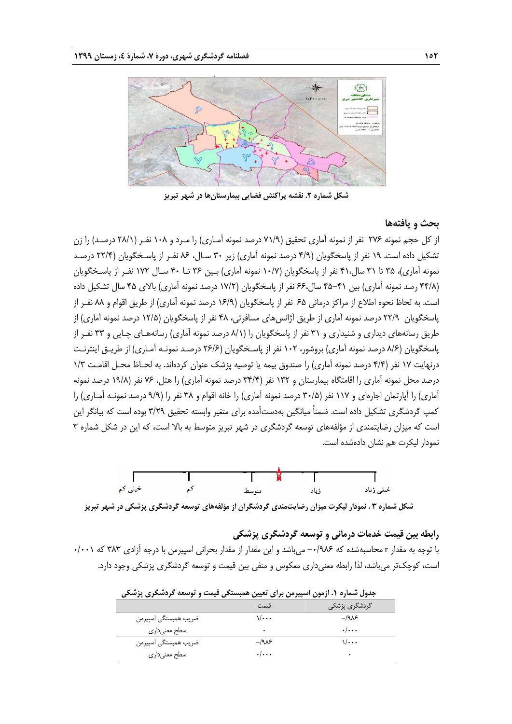

**شكل شماره .2 نقشه پراكنش فضايي بيمارستانها در شهر تبريز**

## **بحث و يافتهها**

از كل حجم نمونه 276 نفر از نمونه آماري تحقيق (71/9 درصد نمونه آمـاري) را مـرد و 108 نفـر (28/1 درصـد) را زن تشكيل داده است. 19 نفر از پاسخگويان (4/9 درصد نمونه آماري) زير 30 سـال، 86 نفـر از پاسـخگويان (22/4 درصـد نمونه آماري)، 35 تا 31 سال41، نفر از پاسخگويان (10/7 نمونه آماري) بـين 36 تـا 40 سـال 172 نفـر از پاسـخگويان (۴۴/۸ رصد نمونه آماري) بين ۴۱-۴۵ سال،۶۶ نفر از پاسخگويان (۱۷/۲ درصد نمونه آماري) بالاي ۴۵ سال تشكيل داده است. به لحاظ نحوه اطلاع از مراكز درماني 65 نفر از پاسخگويان (16/9 درصد نمونه آماري) از طريق اقوام و 88 نفـر از پاسخگويان 22/9 درصد نمونه آماري از طريق آژانسهاي مسافرتي، 48 نفر از پاسخگويان (12/5 درصد نمونه آماري) از طريق رسانههاي ديداري و شنيداري و 31 نفر از پاسخگويان را (8/1 درصد نمونه آماري) رسانههـاي چـاپي و 33 نفـر از پاسخگويان (8/6 درصد نمونه آماري) بروشور، 102 نفر از پاسـخگويان (26/6 درصـد نمونـه آمـاري) از طريـق اينترنـت درنهايت 17 نفر (4/4 درصد نمونه آماري) را صندوق بيمه يا توصيه پزشك عنوان كردهاند. به لحـاظ محـل اقامـت 1/3 درصد محل نمونه آماري را اقامتگاه بيمارستان و 132 نفر (34/4 درصد نمونه آماري) را هتل، 76 نفر (19/8 درصد نمونه آماري) را آپارتمان اجارهاي و 117 نفر (30/5 درصد نمونه آماري) را خانه اقوام و 38 نفر را (9/9 درصد نمونـه آمـاري) را كمپ گردشگري تشكيل داده است. ضمناً ميانگين بهدستآمده براي متغير وابسته تحقيق 3/29 بوده است كه بيانگر اين است كه ميزان رضايتمندي از مؤلفههاي توسعه گردشگري در شهر تبريز متوسط به بالا است، كه اين در شكل شماره 3 نمودار ليكرت هم نشان دادهشده است.



## **رابطه بين قيمت خدمات درماني و توسعه گردشگري پزشكي**

با توجه به مقدار r محاسبهشده كه ۶/۹۸۶ مي باشد و اين مقدار از مقدار بحراني اسپيرمن با درجه آزادي ۳۸۳ كه ۰/۰۰۱ است، كوچكتر ميباشد، لذا رابطه معنيداري معكوس و منفي بين قيمت و توسعه گردشگري پزشكي وجود دارد.

| جدوں سمارہ ۱۰ ارمون اسپیرمن برای تعیین ممبسنگی فیمت و توسعه تردسخری پرسخی |                           |                         |  |  |
|---------------------------------------------------------------------------|---------------------------|-------------------------|--|--|
|                                                                           | قىمت                      | گردشگری پزشکی           |  |  |
| ضريب همبستگي اسپيرمن                                                      | \/•••                     | $-1905$                 |  |  |
| سطح معنىدارى                                                              | ٠                         | $\cdot/\cdot\cdot\cdot$ |  |  |
| ضريب همبستگي اسپيرمن                                                      | $-1905$                   | ۱٬۰۰۰                   |  |  |
| سطح معنىدارى                                                              | $\cdot$ / $\cdot$ $\cdot$ | ٠                       |  |  |

**جدول شماره .1 آزمون اسپيرمن براي تعيين همبستگي قيمت و توسعه گردشگري پزشكي**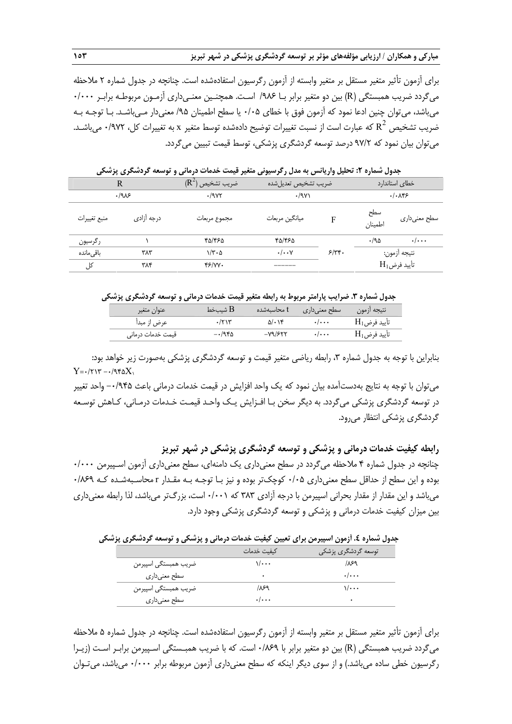براي آزمون تأثير متغير مستقل بر متغير وابسته از آزمون رگرسيون استفادهشده است. چنانچه در جدول شماره 2 ملاحظه ميگردد ضريب همبستگي (R) بين دو متغير برابر بـا ١٩٨۶ اسـت. همچنـين معنـي‹داري آزمـون مربوطـه برابـر ٠/٠٠٠ ميباشد، ميتوان چنين ادعا نمود كه آزمون فوق با خطاي 0/05 يا سطح اطمينان /95 معنيدار مـيباشـد. بـا توجـه بـه خبريب تشخيص  $\mathop{\rm R}^2$  كه عبارت است از نسبت تغييرات توضيح دادهشده توسط متغير x به تغييرات كل، ٩٧٢/٠ ميباشـد. ميتوان بيان نمود كه 97/2 درصد توسعه گردشگري پزشكي، توسط قيمت تبيين ميگردد.

|              | .          |                             |                      |            |                |                            |
|--------------|------------|-----------------------------|----------------------|------------|----------------|----------------------------|
| R            |            | $(\mathsf{R}^2)$ ضريب تشخيص | ضريب تشخيص تعديلشده  |            |                | خطاى استاندارد             |
|              | .198       | .79Y                        | .79                  |            |                | . / .                      |
| منبع تغييرات | درجه آزادی | مجموع مربعات                | ميانگين مربعات       | F          | سطح<br>اطمينان | سطح معنىدارى               |
| رگرسيون      |            | ۴۵/۴۶۵                      | ٣۵/۴۶۵               |            | ۱۹۵.           | $\cdot/\cdots$             |
| باقىماندە    | ۳۸۳        | $1/\tau \cdot \Delta$       | $\cdot/\cdot\cdot$ Y | $5/\tau$ . |                | نتيجه أزمون:               |
| کل           | ۳۸۴        | $f$ /YY $\cdot$             | ------               |            |                | $\mathrm{H}_{1}$ تأييد فرض |

**جدول شماره :2 تحليل واريانس به مدل رگرسيوني متغير قيمت خدمات درماني و توسعه گردشگري پزشكي** 

**جدول شماره .3 ضرايب پارامتر مربوط به رابطه متغير قيمت خدمات درماني و توسعه گردشگري پزشكي** 

| لا شسخط B<br>عنوان متغير<br>t محاسىەشدە  | نتيجه أزمون<br>سطح معنىدارى                                   |
|------------------------------------------|---------------------------------------------------------------|
| عرض از مبدأ<br>$\gamma \gamma$<br>۵/۰۱۴  | $\mathrm{H}_{1}$ تأييد فرض<br>$\cdot$ $\cdot$ $\cdot$ $\cdot$ |
| $-Y9/FY$<br>$-1980$<br>قیمت خدمات درمانی | $\mathrm{H}_{1}$ تأييد فرض<br>$\cdot$ $\cdot$ $\cdot$ $\cdot$ |

بنابراين با توجه به جدول شماره ۳، رابطه رياضي متغير قيمت و توسعه گردشگري پزشكي بهصورت زير خواهد بود:  $Y = -1717 - 1980X$ 

ميتوان با توجه به نتايج بهدستآمده بيان نمود كه يك واحد افزايش در قيمت خدمات درماني باعث -0/945 واحد تغيير در توسعه گردشگري پزشكي ميگردد. به ديگر سخن بـا افـزايش يـك واحـد قيمـت خـدمات درمـاني، كـاهش توسـعه گردشگري پزشكي انتظار ميرود.

**رابطه كيفيت خدمات درماني و پزشكي و توسعه گردشگري پزشكي در شهر تبريز**  چنانچه در جدول شماره 4 ملاحظه ميگردد در سطح معنيداري يك دامنهاي، سطح معنيداري آزمون اسـپيرمن 0/000 بوده و اين سطح از حداقل سطح معنيداري 0/05 كوچكتر بوده و نيز بـا توجـه بـه مقـدار r محاسـبهشـده كـه 0/869 ميباشد و اين مقدار از مقدار بحراني اسپيرمن با درجه آزادي 383 كه 0/001 است، بزرگتر ميباشد، لذا رابطه معنيداري بين ميزان كيفيت خدمات درماني و پزشكي و توسعه گردشگري پزشكي وجود دارد.

**جدول شماره .4 آزمون اسپيرمن براي تعيين كيفيت خدمات درماني و پزشكي و توسعه گردشگري پزشكي** 

|                      | كىفىت خدمات                     | ٔ توسعه گردشگری پزشک <u>ی</u> |
|----------------------|---------------------------------|-------------------------------|
| ضریب همبستگی اسپیرمن | \/•••                           | ۶۹/۱                          |
| ِ سطح معنی داری      | ٠                               | $\cdot/\cdot\cdot\cdot$       |
| ضريب همبستگي اسپيرمن | ۶۹ ا                            | 1/ • • •                      |
| سطح معنیداری         | $\cdot$ $\cdot$ $\cdot$ $\cdot$ | ٠                             |

براي آزمون تأثير متغير مستقل بر متغير وابسته از آزمون رگرسيون استفاده شده است. چنانچه در جدول شماره 5 ملاحظه ميگردد ضريب همبستگي (R (بين دو متغير برابر با 0/869 است. كه با ضريب همبـستگي اسـپيرمن برابـر اسـت (زيـرا رگرسيون خطي ساده ميباشد.) و از سوي ديگر اينكه كه سطح معنيداري آزمون مربوطه برابر 0/000 ميباشد، ميتـوان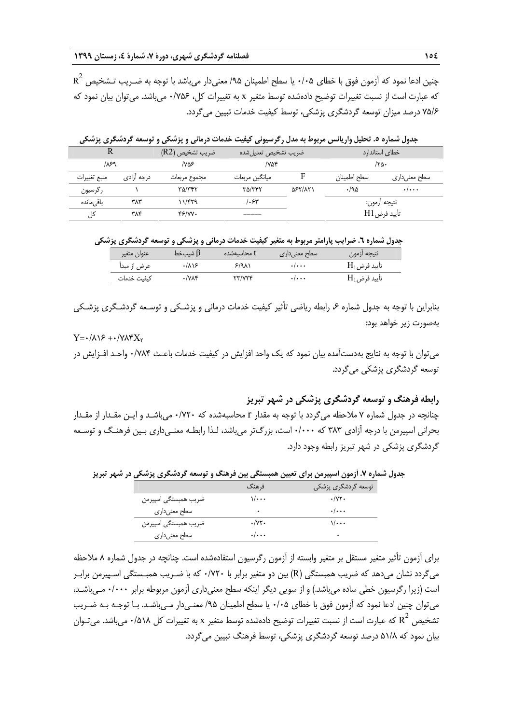$\mathrm{R}^2$  چنين ادعا نمود كه آزمون فوق با خطاى ۰/۰۵ يا سطح اطمينان ۹۵/ معنىدار مىباشد با توجه به ضـريب تـشخيص كه عبارت است از نسبت تغييرات توضيح دادهشده توسط متغير x به تغييرات كل، 0/756 ميباشد. ميتوان بيان نمود كه 75/6 درصد ميزان توسعه گردشگري پزشكي، توسط كيفيت خدمات تبيين ميگردد.

جدول شماره ٥. تحلیل واریانس مربوط به مدل رگرسیونی کیفیت خدمات درمانی و پزشکی و توسعه گردشگری پزشکی

|              |            | ضريب تشخيص (R2) | ضريب تشخيص تعديلشده |                | خطای استاندارد |                         |
|--------------|------------|-----------------|---------------------|----------------|----------------|-------------------------|
| ۶۹/          |            | ۷۵۶/            | ۷۵۴/                |                |                | ۲۵۰/                    |
| منبع تغييرات | درجه ازادی | مجموع مربعات    | ميانگين مربعات      |                | سطح اطمينان    | سطح معنیداری            |
| رگرسیون      |            | ۳۵/۳۴۲          | ۳۵/۳۴۲              | <b>AST/ATI</b> | .40            | $\cdot/\cdot\cdot\cdot$ |
| باقے ,ماندہ  | ۳۸۳        | ۱۱/۴۲۹          | ۶۳،                 |                |                | نتيجه ازمون:            |
| کل           | ۳۸۴        | Y5/VV.          | _____               |                |                | تأييد فرضH1             |

**جدول شماره .6 ضرايب پارامتر مربوط به متغير كيفيت خدمات درماني و پزشكي و توسعه گردشگري پزشكي** 

| عنوان متغير | b شسخط $\mathrm{B}$ | I محاسىەشدە | سطح معنی داری             | نتيجه أزمون                |
|-------------|---------------------|-------------|---------------------------|----------------------------|
| عرض از مبدأ | ۱۸۱۶                | ۶٬۹۸۱       | $\cdot$ / $\cdot$ $\cdot$ | $\mathrm{H}_{1}$ تأييد فرض |
| كىفىت خدمات | ۷۸۴/                | ۳/۷۲۴       | . /                       | $\mathrm{H}_{1}$ تأييد فرض |

بنابراين با توجه به جدول شماره ۶، رابطه رياضي تأثير كيفيت خدمات درماني و پزشـكي و توسـعه گردشـگري پزشـكي بهصورت زير خواهد بود:

## $Y = \cdot / \Lambda \sqrt{2} + \cdot / \sqrt{2}X$

ميتوان با توجه به نتايج بهدستآمده بيان نمود كه يك واحد افزايش در كيفيت خدمات باعـث 0/784 واحـد افـزايش در توسعه گردشگري پزشكي ميگردد.

**رابطه فرهنگ و توسعه گردشگري پزشكي در شهر تبريز** 

چنانچه در جدول شماره 7 ملاحظه ميگردد با توجه به مقدار r محاسبهشده كه 0/720 ميباشـد و ايـن مقـدار از مقـدار بحراني اسپيرمن با درجه آزادي ٣٨٣ كه ١٠٠٠٠ است، بزرگتر مي باشد، لـذا رابطـه معنـي داري بـين فرهنـگ و توسـعه گردشگري پزشكي در شهر تبريز رابطه وجود دارد.

**جدول شماره .7 آزمون اسپيرمن براي تعيين همبستگي بين فرهنگ و توسعه گردشگري پزشكي در شهر تبريز** 

|                      | فرهنگ                     | توسعه گردشگری پزشکی             |
|----------------------|---------------------------|---------------------------------|
| ضريب همبستگي اسپيرمن | $\sqrt{\cdots}$           | $\cdot$ / $\forall$ $\cdot$     |
| سطح معنىدارى         | ٠                         | $\cdot$ $\cdot$ $\cdot$ $\cdot$ |
| ضريب همبستگي اسپيرمن | $\cdot/\gamma\gamma$ .    | $\sqrt{\cdots}$                 |
| سطح معنىدارى         | $\cdot$ / $\cdot$ $\cdot$ | ٠                               |

براي آزمون تأثير متغير مستقل بر متغير وابسته از آزمون رگرسيون استفاده شده است. چنانچه در جدول شماره 8 ملاحظه ميگردد نشان ميدهد كه ضريب همبستگي (R (بين دو متغير برابر با 0/720 كه با ضـريب همبـستگي اسـپيرمن برابـر است (زيرا رگرسيون خطي ساده ميباشد.) و از سويي ديگر اينكه سطح معنيداري آزمون مربوطه برابر 0/000 مـيباشـد، ميتوان چنين ادعا نمود كه آزمون فوق با خطاي 0/05 يا سطح اطمينان /95 معنـيدار مـيباشـد. بـا توجـه بـه ضـريب تشخيص  $\rm R^2$  كه عبارت است از نسبت تغييرات توضيح دادهشده توسط متغير x به تغييرات كل 0/\18^ ميباشد. مي تـوان بيان نمود كه 51/8 درصد توسعه گردشگري پزشكي، توسط فرهنگ تبيين ميگردد.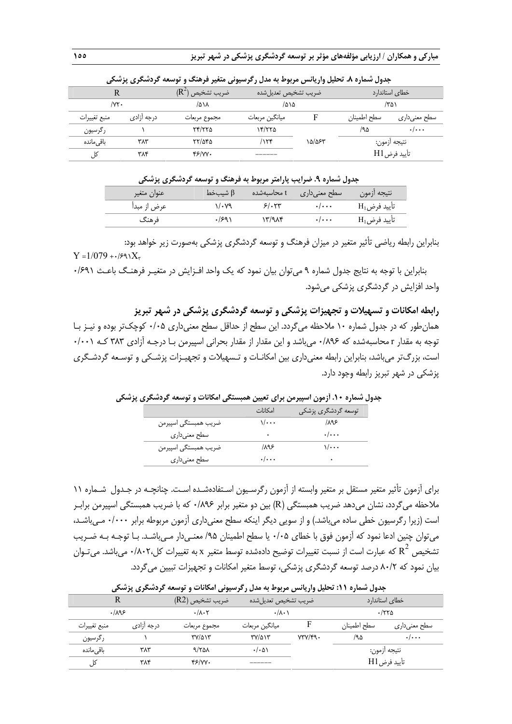|                | .                  |                          |                     |        |             |                         |
|----------------|--------------------|--------------------------|---------------------|--------|-------------|-------------------------|
|                |                    | $(R^2)$<br>اضريب تشخيص ا | ضريب تشخيص تعديلشده |        |             | خطای استاندارد          |
| $/ \nu \tau$ . |                    | ۸۱۸/                     | ۱۵۱۵                |        |             | ۱۳۵۱                    |
| منبع تغييرات   | درجه آزاد <i>ی</i> | مجموع مربعات             | ميانگين مربعات      |        | سطح اطمينان | سطح معنیداری            |
| رگرسیون        |                    | ۲۴/۲۲۵                   | ۱۴/۲۲۵              |        | ۸۵/         | $\cdot/\cdot\cdot\cdot$ |
| باقے ٕماندہ    | ۳۸۳                | ۲۲/۵۴۵                   | ۱۲۴                 | ۱۵/۵۶۳ |             | نتيجه أزمون:            |
| کل             | ۳۸۴                | 46/W.                    | ______              |        |             | تأييد فرض H1            |

**جدول شماره .8 تحليل واريانس مربوط به مدل رگرسيوني متغير فرهنگ و توسعه گردشگري پزشكي**

| جدول شماره ۹. ضرایب پارامتر مربوط به فرهنگ و توسعه گردشگری پزشکی |  |  |  |  |
|------------------------------------------------------------------|--|--|--|--|
|------------------------------------------------------------------|--|--|--|--|

| عنوان متغير | شسەخط $\beta$ |        | ا سطح معنیداری t محاسبهشده | تتيجه أزمون                |
|-------------|---------------|--------|----------------------------|----------------------------|
| عرض از مبدأ | 11.V9         | 5/0.54 | $\cdot$ / $\cdot$ .        | $\mathrm{H}_{1}$ تأييد فرض |
| ف هنگ       | ۱۶۹۱.         | ۱۳/۹۸۴ | $\cdot$ / $\cdot$ $\cdot$  | $\mathrm{H_{1}}$ تأييد فرض |

بنابراين رابطه رياضي تأثير متغير در ميزان فرهنگ و توسعه گردشگري پزشكي بهصورت زير خواهد بود:  $Y = 1/079 +1/89X_r$ 

بنابراين با توجه به نتايج جدول شماره 9 ميتوان بيان نمود كه يك واحد افـزايش در م تغيـر فرهنـگ باعـث 0/691 واحد افزايش در گردشگري پزشكي ميشود.

**رابطه امكانات و تسهيلات و تجهيزات پزشكي و توسعه گردشگري پزشكي در شهر تبريز**  همانطور كه در جدول شماره 10 ملاحظه ميگردد. اين سطح از حداقل سطح معنيداري 0/05 كوچكتر بوده و نيـز بـا توجه به مقدار r محاسبهشده كه 0/896 ميباشد و اين مقدار از مقدار بحراني اسپيرمن بـا درجـه آزادي 383 كـه 0/001 است، بزرگتر ميباشد، بنابراين رابطه معنيداري بين امكانـات و تـسهيلات و تجهيـزات پزشـكي و توسـعه گردشـگري پزشكي در شهر تبريز رابطه وجود دارد.

|                      | امكانات                 | توسعه گردشگری پزشکی     |
|----------------------|-------------------------|-------------------------|
| ضريب همبستگي اسپيرمن | ۰۰۰۱/                   | 1195                    |
| سطح معنىدارى         | ٠                       | $\cdot/\cdot\cdot\cdot$ |
| ضريب همبستگي اسپيرمن | ۱۸۹۶                    | ۰۰۰۱۱                   |
| سطح معنىدارى         | $\cdot/\cdot\cdot\cdot$ | ٠                       |

**جدول شماره .10 آزمون اسپيرمن براي تعيين همبستگي امكانات و توسعه گردشگري پزشكي** 

براي آزمون تأثير متغير مستقل بر متغير وابسته از آزمون رگرسـيون اسـتفادهشـده اسـت. چنانچـه در جـدول شـماره 11 ملاحظه ميگردد، نشان ميدهد ضريب همبستگي (R (بين دو متغير برابر 0/896 كه با ضريب همبستگي اسپيرمن برابـر است (زيرا رگرسيون خطي ساده ميباشد.) و از سويي ديگر اينكه سطح معنيداري آزمون مربوطه برابر 0/000 مـيباشـد، ميتوان چنين ادعا نمود كه آزمون فوق با خطاي 0/05 يا سطح اطمينان /95 معنـيدار مـيباشـد. بـا توجـه بـه ضـريب تشخيص  $\mathsf{R}^2$  كه عبارت است از نسبت تغييرات توضيح دادهشده توسط متغير x به تغييرات كل٢٠٧،٠ ميباشد. ميتـوان بيان نمود كه 80/2 درصد توسعه گردشگري پزشكي، توسط متغير امكانات <sup>و</sup> تجهيزات تبيين ميگردد.

|              | جدوں سمارہ ۰،۱۰ تختین واریائش مربوط به مدن ر ترسیونی امحادث و توسعه تردستگری پرسخی |                                        |                      |         |                |                         |  |
|--------------|------------------------------------------------------------------------------------|----------------------------------------|----------------------|---------|----------------|-------------------------|--|
|              |                                                                                    | ضريب تشخيص (R2)<br>ضريب تشخيص تعديلشده |                      |         | خطای استاندارد |                         |  |
| .1195        |                                                                                    | $\cdot/\lambda\cdot$ ۲                 | $\cdot/\lambda\cdot$ |         |                | ۱۲۲۵.                   |  |
| منبع تغييرات | درجه ازادی                                                                         | مجموع مربعات                           | ميانگين مربعات       |         | سطح اطمينان    | سطح معنیداری            |  |
| رگرسیون      |                                                                                    | ۳۷/۵۱۳                                 | ۳۷/۵۱۳               | VTV/F9. | /۹۵            | $\cdot/\cdot\cdot\cdot$ |  |
| باقے ,ماندہ  | ۳۸۳                                                                                | 9/751                                  | $. / \cdot \Delta$   |         |                | نتيجه أزمون:            |  |
| کل           | ۳۸۴                                                                                | $f$ / $V$                              |                      |         |                | تأييد فرض H1            |  |

**جدول شماره :11 تحليل واريانس مربوط به مدل رگرسيوني امكانات و توسعه گردشگري پزشكي**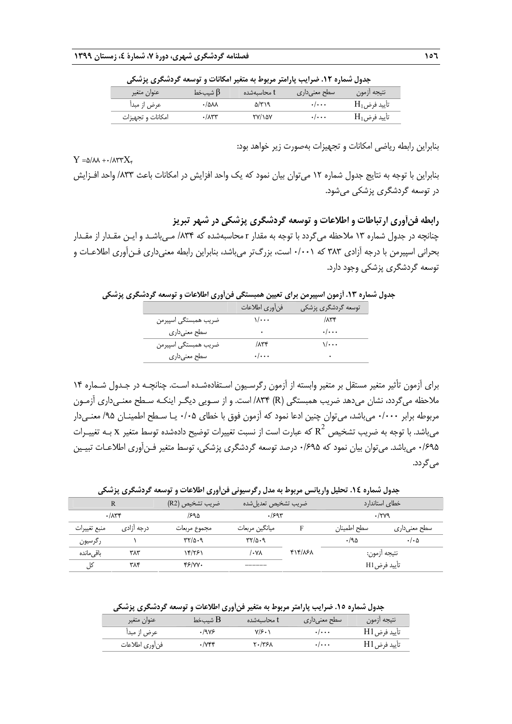| جدون سمره ۰٬۰۰۰ صرایب پاراسر مربوط به منتیر امتحادث و توسعه تردستگری پرسانی |           |             |                           |                            |  |
|-----------------------------------------------------------------------------|-----------|-------------|---------------------------|----------------------------|--|
| عنوان متغير                                                                 | ا شیبخط β | t محاسىەشدە | سطح معنىدارى              | نتيجه أزمون                |  |
| عرض از مبدأ                                                                 | ۸۸۵۰۰     | ۵/۳۱۹       | $\cdot/\cdot\cdot\cdot$   | $\mathrm{H}_{1}$ تأييد فرض |  |
| امكانات و تجهيزات                                                           | ۰/۸۳۳     | ۲۷/۱۵۷      | $\cdot$ / $\cdot$ $\cdot$ | $\mathrm{H}_{1}$ تأييد فرض |  |

**جدول شماره .12 ضرايب پارامتر مربوط به متغير امكانات و توسعه گردشگري پزشكي** 

بنابراين رابطه رياضي امكانات و تجهيزات بهصورت زير خواهد بود:

#### $Y = \Delta/\lambda\lambda + \frac{1}{2}\lambda\gamma Y^2 + \lambda\gamma Y^2 + \lambda\gamma Y^2 + \lambda\gamma Y^2 + \lambda\gamma Y^2 + \lambda\gamma Y^2 + \lambda\gamma Y^2 + \lambda\gamma Y^2 + \lambda\gamma Y^2 + \lambda\gamma Y^2 + \lambda\gamma Y^2 + \lambda\gamma Y^2 + \lambda\gamma Y^2 + \lambda\gamma Y^2 + \lambda\gamma Y^2 + \lambda\gamma Y^2 + \lambda\gamma Y^2 + \lambda\gamma Y^2 + \lambda\gamma Y^2 + \lambda\gamma Y^2 + \lambda\gamma Y^2 + \lambda\gamma Y^2 + \lambda\gamma Y^2 + \lambda\gamma Y^2 + \lambda\gamma Y^2 + \lambda\gamma Y$

بنابراين با توجه به نتايج جدول شماره 12 ميتوان بيان نمود كه يك واحد افزايش در امكانات باعث /833 واحد افـزايش در توسعه گردشگري پزشكي ميشود.

## **رابطه فنآوري ارتباطات و اطلاعات و توسعه گردشگري پزشكي در شهر تبريز**

چنانچه در جدول شماره 13 ملاحظه ميگردد با توجه به مقدار r محاسبهشده كه /834 مـيباشـد و ايـن مقـدار از مقـدار بحراني اسپيرمن با درجه آزادي 383 كه 0/001 است، بزرگتر ميباشد، بنابراين رابطه معنيداري فـنآوري اطلاعـات و توسعه گردشگري پزشكي وجود دارد.

**جدول شماره .13 آزمون اسپيرمن براي تعيين همبستگي فنآوري اطلاعات و توسعه گردشگري پزشكي**

|                      | فن أوري اطلاعات         | توسعه گردشگری پزشکی     |
|----------------------|-------------------------|-------------------------|
| ضريب همبستگي اسپيرمن | ۰۰۰/۱                   | $/ \Lambda r f$         |
| سطح معنىدارى         | ۰                       | $\cdot/\cdot\cdot\cdot$ |
| ضريب همبستگي اسپيرمن | $/ \Lambda \tau \tau$   | ۰۰۰/۱                   |
| سطح معنىدارى         | $\cdot/\cdot\cdot\cdot$ | ٠                       |

براي آزمون تأثير متغير مستقل بر متغير وابسته از آزمون رگرسـيون اسـتفاده شـده اسـت. چنانچـه در جـدول شـماره 14 ملاحظه ميگردد، نشان مي دهد ضريب همبستگي (R) ۸۳۴/ است. و از سـويي ديگـر اينكـه سـطح معنـي داري آزمـون مربوطه برابر ۱٬۰۰۰ مي باشد، مي توان چنين ادعا نمود كه آزمون فوق با خطاي ۰/۰۵ يـا سـطح اطمينـان ۹۵/ معنـيدار میباشد. با توجه به ضريب تشخيص  $\mathrm{R}^2$  که عبارت است از نسبت تغييرات توضيح دادهشده توسط متغير  $\mathrm{x}$  بـه تغييـرات 0/695 ميباشد. ميتوان بيان نمود كه 0/695 درصد توسعه گردشگري پزشكي، توسط متغير فـنآوري اطلاعـات تبيـين ميگردد.

**جدول شماره .14 تحليل واريانس مربوط به مدل رگرسيوني فنآوري اطلاعات و توسعه گردشگري پزشكي** 

| R            |            | /ضريب تشخيص (R2) | ضريب تشخيص تعديلشده                        |        |              | خطای استاندارد       |
|--------------|------------|------------------|--------------------------------------------|--------|--------------|----------------------|
|              | .774       | ۳۹۵/             | .1594                                      |        |              | $\cdot$ /۲۷۹         |
| منبع تغييرات | درجه ازادی | مجموع مربعات     | میانگین مربعات                             |        | سطح اطمينان  | سطح معنیداری         |
| رگرسیون      |            | 11/0.9           | $\mathcal{H}^{\prime\prime}$ $\mathcal{A}$ |        | .790         | $\cdot/\cdot \Delta$ |
| باقے ماندہ   | ۳۸۳        | ۱۴/۲۶۱           | /۰۷۸                                       | YY/X5A | نتيجه ازمون: |                      |
| کل           | ۳۸۴        | 45/VV.           | ______                                     |        | تأييد فرضH1  |                      |

**جدول شماره .15 ضرايب پارامتر مربوط به متغير فنآوري اطلاعات و توسعه گردشگري پزشكي** 

| عنوان متغير    | لا شسخط B | t محاسىەشدە | ا سطح معنی داری           | تتيجه أزمون |
|----------------|-----------|-------------|---------------------------|-------------|
| عرض از مبدأ    | ۱۹۷۶.     | ۷/۶۰۱       | $\cdot$ / $\cdot$ $\cdot$ | تأييد فرضH1 |
| فنأورى اطلاعات | ۱۷۴۴.     | ۲۰/۳۶۸      | $\cdot$ / $\cdot$ $\cdot$ | تأييد فرضH1 |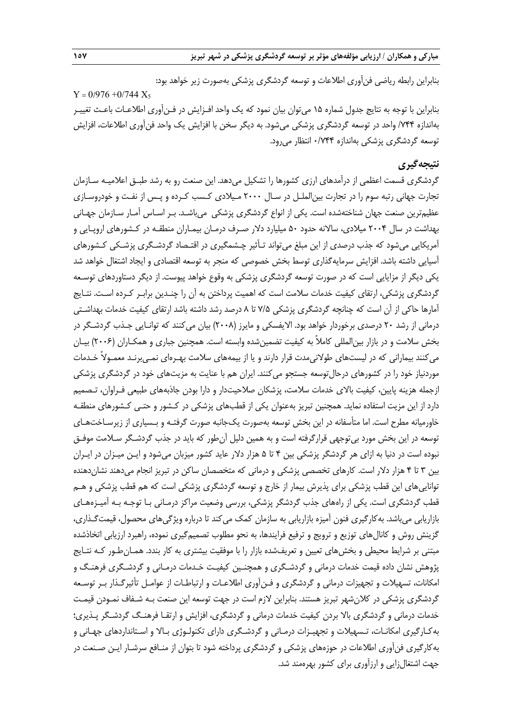بنابراين رابطه رياضي فنآوري اطلاعات و توسعه گردشگري پزشكي بهصورت زير خواهد بود:

 $Y = 0/976 + 0/744 X_5$ بنابراين با توجه به نتايج جدول شماره 15 ميتوان بيان نمود كه يك واحد افـزايش در فـنآوري اطلاعـات باعـث تغييـر بهاندازه /744 واحد در توسعه گردشگري پزشكي ميشود. به ديگر سخن با افزايش يك واحد فنآوري اطلاعات، افزايش توسعه گردشگري پزشكي بهاندازه 0/744 انتظار ميرود.

## **نتيجهگيري**

گردشگري قسمت اعظمي از درآمدهاي ارزي كشورها را تشكيل ميدهد. اين صنعت رو به رشد طبـق اعلاميـه سـازمان تجارت جهاني رتبه سوم را در تجارت بينالملـل در سـال 2000 مـيلادي كـسب كـرده و پـس از نفـت و خودروسـازي عظيمترين صنعت جهان شناختهشده است. يكي از انواع گردشگري پزشكي ميباشـد. بـر اسـاس آمـار سـازمان جهـاني بهداشت در سال 2004 ميلادي، سالانه حدود 50 ميليارد دلار صـرف درمـان بيمـاران منطقـه در كـشورهاي اروپـايي و آمريكايي ميشود كه جذب درصدي از اين مبلغ ميتواند تـأثير چـشمگيري در اقتـصاد گردشـگري پزشـكي كـشورهاي آسيايي داشته باشد. افزايش سرمايهگذاري توسط بخش خصوصي كه منجر به توسعه اقتصادي و ايجاد اشتغال خواهد شد يكي ديگر از مزايايي است كه در صورت توسعه گردشگري پزشكي به وقوع خواهد پيوست. از ديگر دستاوردهاي توسـعه گردشگري پزشكي، ارتقاي كيفيت خدمات سلامت است كه اهميت پرداختن به آن را چنـدين برابـر كـرده اسـت. نتـايج آمارها حاكي از آن است كه چنانچه گردشگري پزشكي 7/5 تا 8 درصد رشد داشته باشد ارتقاي كيفيت خدمات بهداشـتي درماني از رشد 20 درصدي برخوردار خواهد بود. الايفسكي و مايرز (2008) بيان ميكنند كه توانـايي جـذب گردشـگر در بخش سلامت و در بازار بينالمللي كاملاً به كيفيت تضمينشده وابسته است. همچنين جباري و همكـاران (2006) بيـان ميكنند بيماراني كه در ليستهاي طولانيمدت قرار دارند و يا از بيمههاي سلامت بهـرهاي نمـيبرنـد معمـولاً خـدمات موردنياز خود را در كشورهاي درحالتوسعه جستجو ميكنند. ايران هم با عنايت به مزيتهاي خود در گردشگري پزشكي ازجمله هزينه پايين، كيفيت بالاي خدمات سلامت، پزشكان صلاحيتدار و دارا بودن جاذبههاي طبيعي فـراوان، تـصميم دارد از اين مزيت استفاده نمايد. همچنين تبريز بهعنوان يكي از قطبهاي پزشكي در كـشور و حتـي كـشورهاي منطقـه خاورميانه مطرح است. اما متأسفانه در اين بخش توسعه بهصورت يكجانبه صورت گرفتـه و بـسياري از زيرسـاختهـاي توسعه در اين بخش مورد بيتوجهي قرارگرفته است و به همين دليل آنطور كه بايد در جذب گردشـگر سـلامت موفـق نبوده است در دنيا به ازاي هر گردشگر پزشكي بين 4 تا 5 هزار دلار عايد كشور ميزبان ميشود و ايـن ميـزان در ايـران بين 3 تا 4 هزار دلار است. كارهاي تخصصي پزشكي و درماني كه متخصصان ساكن در تبريز انجام ميدهند نشاندهنده تواناييهاي اين قطب پزشكي براي پذيرش بيمار از خارج و توسعه گردشگري پزشكي است كه هم قطب پزشكي و هـم قطب گردشگري است. يكي از راههاي جذب گردشگر پزشكي، بررسي وضعيت مراكز درمـاني بـا توجـه بـه آميـزههـاي بازاريابي ميباشد. بهكارگيري فنون آميزه بازاريابي به سازمان كمك ميكند تا درباره ويژگيهاي محصول، قيمتگـذاري، گزينش روش و كانالهاي توزيع و ترويج و ترفيع فرايندها، به نحو مطلوب تصميمگيري نموده، راهبرد ارزيابي اتخاذشده مبتني بر شرايط محيطي و بخشهاي تعيين و تعريفشده بازار را با موفقيت بيشتري به كار بندد. همـانطـور كـه نتـايج پژوهش نشان داده قيمت خدمات درماني و گردشـگري و همچنـين كيفيـت خـدمات درمـاني و گردشـگري فرهنـگ و امكانات، تسهيلات و تجهيزات درماني و گردشگري و فـنآوري اطلاعـات و ارتباطـات از عوامـل تأثيرگـذار بـر توسـعه گردشگري پزشكي در كلانشهر تبريز هستند. بنابراين لازم است در جهت توسعه اين صنعت بـه شـفاف نمـودن قيمـت خدمات درماني و گردشگري بالا بردن كيفيت خدمات درماني و گردشگري، افزايش و ارتقـا فرهنـگ گردشـگر پـذيري ؛ بهكـارگيري امكانـات، تـسهيلات و تجهيـزات درمـاني و گردشـگري داراي تكنولـوژي بـالا و اسـتانداردهاي جهـاني و بهكارگيري فنآوري اطلاعات در حوزههاي پزشكي و گردشگري پرداخته شود تا بتوان از منـافع سرشـار ايـن صـنعت در جهت اشتغالزايي و ارزآوري براي كشور بهرهمند شد.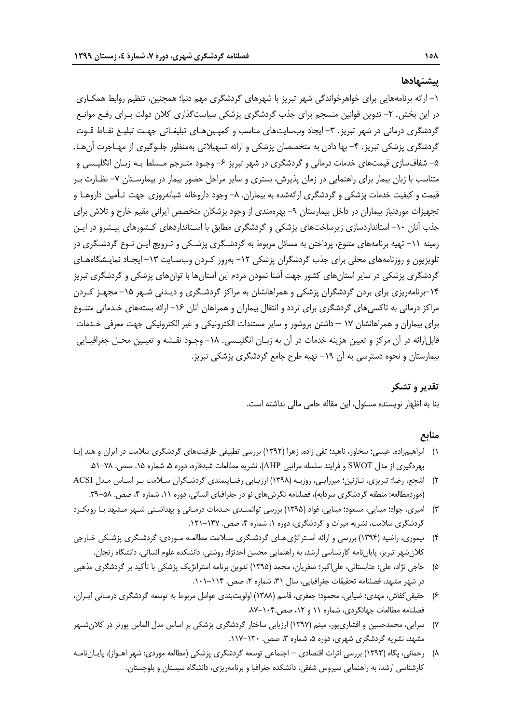#### **پيشنهادها**

-1 ارائه برنامههايي براي خواهرخواندگي شهر تبريز با شهرهاي گردشگري مهم دنيا؛ همچنين، تنظيم روابط همكـاري در اين بخش. ٢- تدوين قوانين منسجم براي جذب گردشگري پزشكي سياستگذاري كلان دولت بـراي رفـع موانـع گردشگري درماني در شهر تبريز. ٣- ايجاد وبسايتهاي مناسب و كمپـينهـاي تبليغـاتي جهـت تبليـغ نقـاط قـوت گردشگري پزشكي تبريز. ۴- بها دادن به متخصصان پزشكي و ارائه تسهيلاتي بهمنظور جلـوگيري از مهـاجرت آنهـا. ۵− شفافسازي قيمتهاي خدمات درماني و گردشگري در شهر تبريز ۶− وجـود متـرجم مـسلط بـه زبـان انگليـسي و متناسب با زبان بيمار براي راهنمايي در زمان پذيرش، بستري و ساير مراحل حضور بيمار در بيمارسـتان -7 نظـارت بـر قيمت و كيفيت خدمات پزشكي و گردشگري ارائهشده به بيماران. ٨– وجود داروخانه شبانهروزي جهت تـأمين داروهـا و تجهيزات موردنياز بيماران در داخل بيمارستان ٩- بهرهمندي از وجود پزشكان متخصص ايراني مقيم خارج و تلاش براي جذب آنان -10 استانداردسازي زيرساختهاي پزشكي و گردشگري مطابق با اسـتانداردهاي كـشورهاي پيـشرو در ايـن زمينه -11 تهيه برنامههاي متنوع، پرداختن به مسائل مربوط به گردشـگري پزشـكي و تـرويج ايـن نـوع گردشـگري در تلويزيون و روزنامههاي محلي براي جذب گردشگران پزشكي -12 بهروز كـردن وبسـايت -13 ايجـاد نمايـشگاههـاي گردشگري پزشكي در ساير استانهاي كشور جهت آشنا نمودن مردم اين استانها با توانهاي پزشكي و گردشگري تبريز -14برنامهريزي براي بردن گردشگران پزشكي و همراهانشان به مراكز گردشـگري و ديـدني شـهر -15 مجهـز كـردن مراكز درماني به تاكسيهاي گردشگري براي تردد و انتقال بيماران و همراهان آنان -16 ارائه بستههاي خـدماتي متنـوع براي بيماران و همراهانشان 17 – داشتن بروشور و ساير مستندات الكترونيكي و غير الكترونيكي جهت معرفي خـدمات قابلارائه در آن مركز و تعيين هزينه خدمات در آن به زبـان انگليـسي. -18 وجـود نقـشه و تعيـين محـل جغرافيـايي بيمارستان و نحوه دسترسي به آن ١٩- تهيه طرح جامع گردشگري پزشكي تبريز.

## **تقدير و تشكر**

بنا به اظهار نويسنده مسئول، اين مقاله حامي مالي نداشته است.

## **منابع**

- 1) ابراهيمزاده، عيسي؛ سخاور، ناهيد؛ تقي زاده، زهرا (1392) بررسي تطبيقي ظرفيتهاي گردشگري سلامت در ايران و هند (بـا بهرهگيري از مدل SWOT و فرايند سلسله مراتبي AHP()، نشريه مطالعات شبهقاره، دوره ۵، شماره ۱۵. صص. ۷۸–۵۱.
- 2) اشجع، رضا؛ تبريزي، نـازنين؛ ميرزايـي، روزبـه (1398) ارزيـابي رضـايتمندي گردشـگران سـلامت بـر اسـاس مـدل ACSI (موردمطالعه: منطقه گردشگري سردابه)، فصلنامه نگرش هاي نو در جغرافياي انساني، دوره ۱۱، شماره ۴، صص. ۵۸–۳۹.
- 3) اميري، جواد؛ مينايي، مسعود؛ مينايي، فواد (1395) بررسي توانمنـدي خـدمات درمـاني و بهداشـتي شـهر مـشهد بـا رويكـرد گردشگري سلامت، نشريه ميراث و گردشگري، دوره ۰، شماره ۴، صص. ۱۳۷–۱۲۱.
- 4) تيموري، راضيه (1394) بررسي و ارائه اسـتراتژيهـاي گردشـگري سـلامت مطالعـه مـوردي: گردشـگري پزشـكي خـارجي كلانشهر تبريز، پاياننامه كارشناسي ارشد، به راهنمايي محسن احدنژاد روشتي، دانشكده علوم انساني، دانشگاه زنجان.
- 5) حاجي نژاد، علي؛ عنابستاني، علياكبر؛ صفريان، محمد (1395) تدوين برنامه استراتژيك پزشكي با تأكيد بر گردشگري مذهبي در شهر مشهد، فصلنامه تحقيقات جغرافيايي، سال ٣١، شماره ٢، صص. ١١٤-١٠١.
- 6) حقيقيكفاش، مهدي؛ ضيايي، محمود؛ جعفري، قاسم (1388) اولويتبندي عوامل مربوط به توسعه گردشگري درمـاني ايـران، فصلنامه مطالعات جهانگردي، شماره ١١ و ١٢، صص٢٠٠-٨٧.
- 7) سرايي، محمدحسين و افشاريپور، ميثم (1397) ارزيابي ساختار گردشگري پزشكي بر اساس مدل الماس پورتر در كلانشـهر مشهد، نشريه گردشگري شهري، دوره ۵، شماره ۳، صص. ۱۳۰-۱۱۷.
- 8) رحماني، پگاه (1393) بررسي اثرات اقتصادي اجتماعي توسعه گردشگري پزشكي (مطالعه موردي: شهر اهـواز)، پايـاننامـه كارشناسي ارشد، به راهنمايي سيروس شفقي، دانشكده جغرافيا و برنامهريزي، دانشگاه سيستان و بلوچستان.